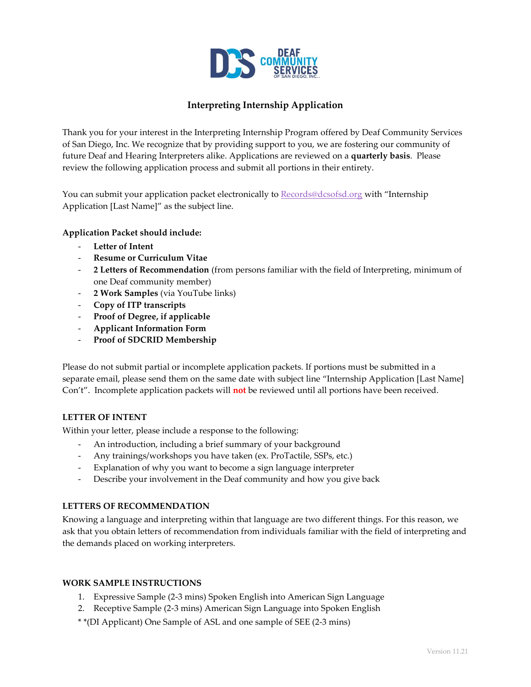

# **Interpreting Internship Application**

Thank you for your interest in the Interpreting Internship Program offered by Deaf Community Services of San Diego, Inc. We recognize that by providing support to you, we are fostering our community of future Deaf and Hearing Interpreters alike. Applications are reviewed on a **quarterly basis**. Please review the following application process and submit all portions in their entirety.

You can submit your application packet electronically to [Records@dcsofsd.org](mailto:Records@dcsofsd.org) with "Internship" Application [Last Name]" as the subject line.

## **Application Packet should include:**

- **Letter of Intent**
- **Resume or Curriculum Vitae**
- **2 Letters of Recommendation** (from persons familiar with the field of Interpreting, minimum of one Deaf community member)
- **2 Work Samples** (via YouTube links)
- **Copy of ITP transcripts**
- **Proof of Degree, if applicable**
- **Applicant Information Form**
- **Proof of SDCRID Membership**

Please do not submit partial or incomplete application packets. If portions must be submitted in a separate email, please send them on the same date with subject line "Internship Application [Last Name] Con't". Incomplete application packets will **not** be reviewed until all portions have been received.

## **LETTER OF INTENT**

Within your letter, please include a response to the following:

- An introduction, including a brief summary of your background
- Any trainings/workshops you have taken (ex. ProTactile, SSPs, etc.)
- Explanation of why you want to become a sign language interpreter
- Describe your involvement in the Deaf community and how you give back

# **LETTERS OF RECOMMENDATION**

Knowing a language and interpreting within that language are two different things. For this reason, we ask that you obtain letters of recommendation from individuals familiar with the field of interpreting and the demands placed on working interpreters.

## **WORK SAMPLE INSTRUCTIONS**

- 1. Expressive Sample (2-3 mins) Spoken English into American Sign Language
- 2. Receptive Sample (2-3 mins) American Sign Language into Spoken English
- \* \*(DI Applicant) One Sample of ASL and one sample of SEE (2-3 mins)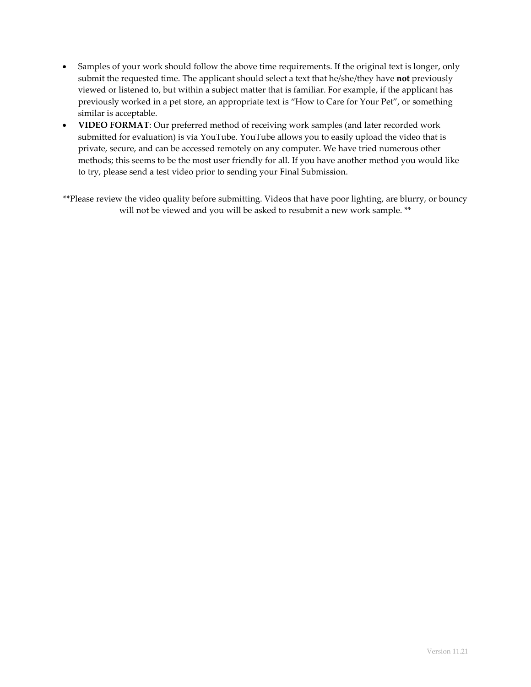- Samples of your work should follow the above time requirements. If the original text is longer, only submit the requested time. The applicant should select a text that he/she/they have **not** previously viewed or listened to, but within a subject matter that is familiar. For example, if the applicant has previously worked in a pet store, an appropriate text is "How to Care for Your Pet", or something similar is acceptable.
- **VIDEO FORMAT**: Our preferred method of receiving work samples (and later recorded work submitted for evaluation) is via YouTube. YouTube allows you to easily upload the video that is private, secure, and can be accessed remotely on any computer. We have tried numerous other methods; this seems to be the most user friendly for all. If you have another method you would like to try, please send a test video prior to sending your Final Submission.

\*\*Please review the video quality before submitting. Videos that have poor lighting, are blurry, or bouncy will not be viewed and you will be asked to resubmit a new work sample. \*\*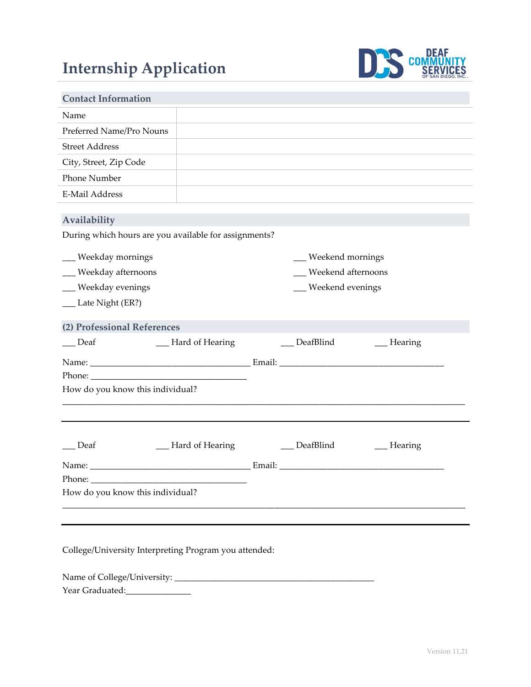# **Internship Application**



| <b>Contact Information</b>                                            |                    |  |                                           |                 |
|-----------------------------------------------------------------------|--------------------|--|-------------------------------------------|-----------------|
| Name                                                                  |                    |  |                                           |                 |
| Preferred Name/Pro Nouns                                              |                    |  |                                           |                 |
| <b>Street Address</b>                                                 |                    |  |                                           |                 |
| City, Street, Zip Code                                                |                    |  |                                           |                 |
| Phone Number                                                          |                    |  |                                           |                 |
| <b>E-Mail Address</b>                                                 |                    |  |                                           |                 |
| Availability<br>During which hours are you available for assignments? |                    |  |                                           |                 |
| __ Weekday mornings                                                   |                    |  |                                           |                 |
| __ Weekday afternoons                                                 |                    |  | __ Weekend mornings<br>Weekend afternoons |                 |
| __ Weekday evenings                                                   |                    |  | __ Weekend evenings                       |                 |
| __ Late Night (ER?)                                                   |                    |  |                                           |                 |
|                                                                       |                    |  |                                           |                 |
| (2) Professional References                                           |                    |  |                                           |                 |
| Deaf                                                                  | __ Hard of Hearing |  | DeafBlind                                 | $\_\_$ Hearing  |
|                                                                       |                    |  |                                           |                 |
|                                                                       |                    |  |                                           |                 |
| How do you know this individual?                                      |                    |  |                                           |                 |
|                                                                       |                    |  |                                           |                 |
| Deaf                                                                  | Hard of Hearing    |  | DeafBlind                                 | $\_\_\$ Hearing |
|                                                                       |                    |  |                                           |                 |
|                                                                       |                    |  |                                           |                 |
| How do you know this individual?                                      |                    |  |                                           |                 |
|                                                                       |                    |  |                                           |                 |

College/University Interpreting Program you attended:

Name of College/University: \_\_\_\_\_\_\_\_\_\_\_\_\_\_\_\_\_\_\_\_\_\_\_\_\_\_\_\_\_\_\_\_\_\_\_\_\_\_\_\_\_\_\_\_\_\_

Year Graduated:\_\_\_\_\_\_\_\_\_\_\_\_\_\_\_